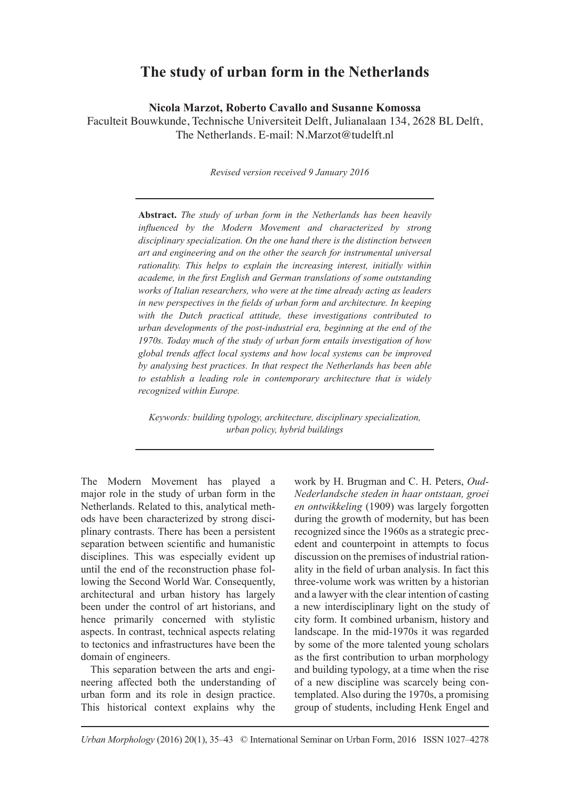# **The study of urban form in the Netherlands**

**Nicola Marzot, Roberto Cavallo and Susanne Komossa**

Faculteit Bouwkunde, Technische Universiteit Delft, Julianalaan 134, 2628 BL Delft, The Netherlands. E-mail: N.Marzot@tudelft.nl

*Revised version received 9 January 2016*

**Abstract.** *The study of urban form in the Netherlands has been heavily influenced by the Modern Movement and characterized by strong disciplinary specialization. On the one hand there is the distinction between art and engineering and on the other the search for instrumental universal rationality. This helps to explain the increasing interest, initially within academe, in the first English and German translations of some outstanding works of Italian researchers, who were at the time already acting as leaders in new perspectives in the fields of urban form and architecture. In keeping with the Dutch practical attitude, these investigations contributed to urban developments of the post-industrial era, beginning at the end of the 1970s. Today much of the study of urban form entails investigation of how global trends affect local systems and how local systems can be improved by analysing best practices. In that respect the Netherlands has been able to establish a leading role in contemporary architecture that is widely recognized within Europe.*

*Keywords: building typology, architecture, disciplinary specialization, urban policy, hybrid buildings* 

The Modern Movement has played a major role in the study of urban form in the Netherlands. Related to this, analytical methods have been characterized by strong disciplinary contrasts. There has been a persistent separation between scientific and humanistic disciplines. This was especially evident up until the end of the reconstruction phase following the Second World War. Consequently, architectural and urban history has largely been under the control of art historians, and hence primarily concerned with stylistic aspects. In contrast, technical aspects relating to tectonics and infrastructures have been the domain of engineers.

This separation between the arts and engineering affected both the understanding of urban form and its role in design practice. This historical context explains why the work by H. Brugman and C. H. Peters, *Oud-Nederlandsche steden in haar ontstaan, groei en ontwikkeling* (1909) was largely forgotten during the growth of modernity, but has been recognized since the 1960s as a strategic precedent and counterpoint in attempts to focus discussion on the premises of industrial rationality in the field of urban analysis. In fact this three-volume work was written by a historian and a lawyer with the clear intention of casting a new interdisciplinary light on the study of city form. It combined urbanism, history and landscape. In the mid-1970s it was regarded by some of the more talented young scholars as the first contribution to urban morphology and building typology, at a time when the rise of a new discipline was scarcely being contemplated. Also during the 1970s, a promising group of students, including Henk Engel and

*Urban Morphology* (2016) 20(1), 35–43 © International Seminar on Urban Form, 2016 ISSN 1027–4278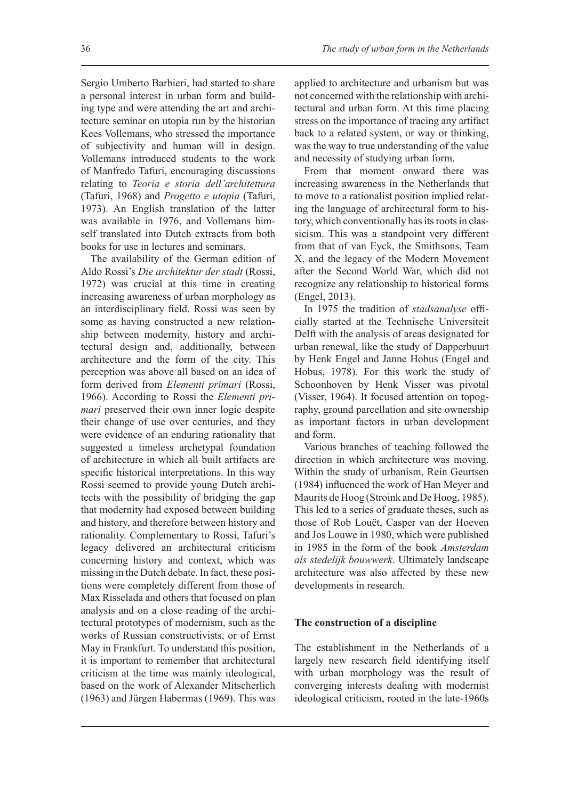Sergio Umberto Barbieri, had started to share a personal interest in urban form and building type and were attending the art and architecture seminar on utopia run by the historian Kees Vollemans, who stressed the importance of subjectivity and human will in design. Vollemans introduced students to the work of Manfredo Tafuri, encouraging discussions relating to *Teoria e storia dell'architettura* (Tafuri, 1968) and *Progetto e utopia* (Tafuri, 1973). An English translation of the latter was available in 1976, and Vollemans himself translated into Dutch extracts from both books for use in lectures and seminars.

The availability of the German edition of Aldo Rossi's *Die architektur der stadt* (Rossi, 1972) was crucial at this time in creating increasing awareness of urban morphology as an interdisciplinary field. Rossi was seen by some as having constructed a new relationship between modernity, history and architectural design and, additionally, between architecture and the form of the city. This perception was above all based on an idea of form derived from *Elementi primari* (Rossi, 1966). According to Rossi the *Elementi primari* preserved their own inner logic despite their change of use over centuries, and they were evidence of an enduring rationality that suggested a timeless archetypal foundation of architecture in which all built artifacts are specific historical interpretations. In this way Rossi seemed to provide young Dutch architects with the possibility of bridging the gap that modernity had exposed between building and history, and therefore between history and rationality. Complementary to Rossi, Tafuri's legacy delivered an architectural criticism concerning history and context, which was missing in the Dutch debate. In fact, these positions were completely different from those of Max Risselada and others that focused on plan analysis and on a close reading of the architectural prototypes of modernism, such as the works of Russian constructivists, or of Ernst May in Frankfurt. To understand this position, it is important to remember that architectural criticism at the time was mainly ideological, based on the work of Alexander Mitscherlich (1963) and Jürgen Habermas (1969). This was

applied to architecture and urbanism but was not concerned with the relationship with architectural and urban form. At this time placing stress on the importance of tracing any artifact back to a related system, or way or thinking, was the way to true understanding of the value and necessity of studying urban form.

From that moment onward there was increasing awareness in the Netherlands that to move to a rationalist position implied relating the language of architectural form to history, which conventionally has its roots in classicism. This was a standpoint very different from that of van Eyck, the Smithsons, Team X, and the legacy of the Modern Movement after the Second World War, which did not recognize any relationship to historical forms (Engel, 2013).

In 1975 the tradition of *stadsanalyse* officially started at the Technische Universiteit Delft with the analysis of areas designated for urban renewal, like the study of Dapperbuurt by Henk Engel and Janne Hobus (Engel and Hobus, 1978). For this work the study of Schoonhoven by Henk Visser was pivotal (Visser, 1964). It focused attention on topography, ground parcellation and site ownership as important factors in urban development and form.

Various branches of teaching followed the direction in which architecture was moving. Within the study of urbanism, Rein Geurtsen (1984) influenced the work of Han Meyer and Maurits de Hoog (Stroink and De Hoog, 1985). This led to a series of graduate theses, such as those of Rob Louët, Casper van der Hoeven and Jos Louwe in 1980, which were published in 1985 in the form of the book *Amsterdam als stedelijk bouwwerk*. Ultimately landscape architecture was also affected by these new developments in research.

# **The construction of a discipline**

The establishment in the Netherlands of a largely new research field identifying itself with urban morphology was the result of converging interests dealing with modernist ideological criticism, rooted in the late-1960s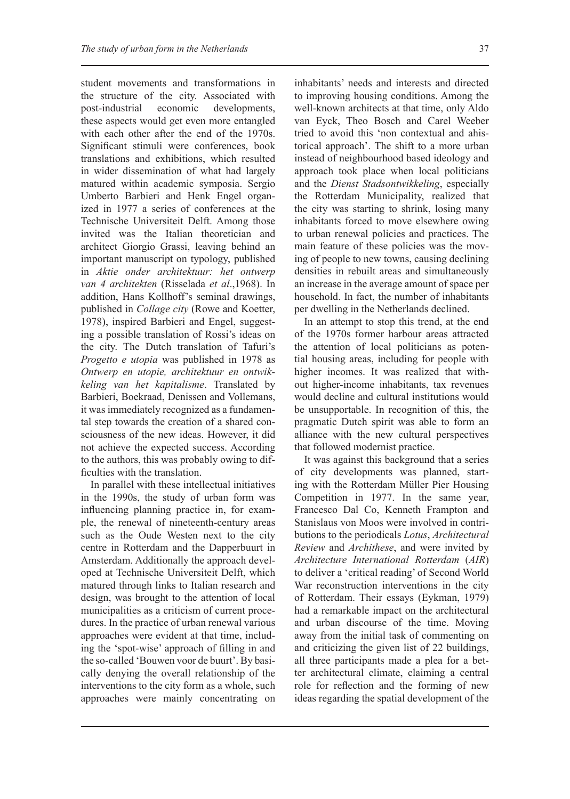student movements and transformations in the structure of the city. Associated with post-industrial economic developments, these aspects would get even more entangled with each other after the end of the 1970s. Significant stimuli were conferences, book translations and exhibitions, which resulted in wider dissemination of what had largely matured within academic symposia. Sergio Umberto Barbieri and Henk Engel organized in 1977 a series of conferences at the Technische Universiteit Delft. Among those invited was the Italian theoretician and architect Giorgio Grassi, leaving behind an important manuscript on typology, published in *Aktie onder architektuur: het ontwerp van 4 architekten* (Risselada *et al*.,1968). In addition, Hans Kollhoff's seminal drawings, published in *Collage city* (Rowe and Koetter, 1978), inspired Barbieri and Engel, suggesting a possible translation of Rossi's ideas on the city. The Dutch translation of Tafuri's *Progetto e utopia* was published in 1978 as *Ontwerp en utopie, architektuur en ontwikkeling van het kapitalisme*. Translated by Barbieri, Boekraad, Denissen and Vollemans, it was immediately recognized as a fundamental step towards the creation of a shared consciousness of the new ideas. However, it did not achieve the expected success. According to the authors, this was probably owing to difficulties with the translation.

In parallel with these intellectual initiatives in the 1990s, the study of urban form was influencing planning practice in, for example, the renewal of nineteenth-century areas such as the Oude Westen next to the city centre in Rotterdam and the Dapperbuurt in Amsterdam. Additionally the approach developed at Technische Universiteit Delft, which matured through links to Italian research and design, was brought to the attention of local municipalities as a criticism of current procedures. In the practice of urban renewal various approaches were evident at that time, including the 'spot-wise' approach of filling in and the so-called 'Bouwen voor de buurt'. By basically denying the overall relationship of the interventions to the city form as a whole, such approaches were mainly concentrating on

inhabitants' needs and interests and directed to improving housing conditions. Among the well-known architects at that time, only Aldo van Eyck, Theo Bosch and Carel Weeber tried to avoid this 'non contextual and ahistorical approach'. The shift to a more urban instead of neighbourhood based ideology and approach took place when local politicians and the *Dienst Stadsontwikkeling*, especially the Rotterdam Municipality, realized that the city was starting to shrink, losing many inhabitants forced to move elsewhere owing to urban renewal policies and practices. The main feature of these policies was the moving of people to new towns, causing declining densities in rebuilt areas and simultaneously an increase in the average amount of space per household. In fact, the number of inhabitants per dwelling in the Netherlands declined.

In an attempt to stop this trend, at the end of the 1970s former harbour areas attracted the attention of local politicians as potential housing areas, including for people with higher incomes. It was realized that without higher-income inhabitants, tax revenues would decline and cultural institutions would be unsupportable. In recognition of this, the pragmatic Dutch spirit was able to form an alliance with the new cultural perspectives that followed modernist practice.

It was against this background that a series of city developments was planned, starting with the Rotterdam Müller Pier Housing Competition in 1977. In the same year, Francesco Dal Co, Kenneth Frampton and Stanislaus von Moos were involved in contributions to the periodicals *Lotus*, *Architectural Review* and *Archithese*, and were invited by *Architecture International Rotterdam* (*AIR*) to deliver a 'critical reading' of Second World War reconstruction interventions in the city of Rotterdam. Their essays (Eykman, 1979) had a remarkable impact on the architectural and urban discourse of the time. Moving away from the initial task of commenting on and criticizing the given list of 22 buildings, all three participants made a plea for a better architectural climate, claiming a central role for reflection and the forming of new ideas regarding the spatial development of the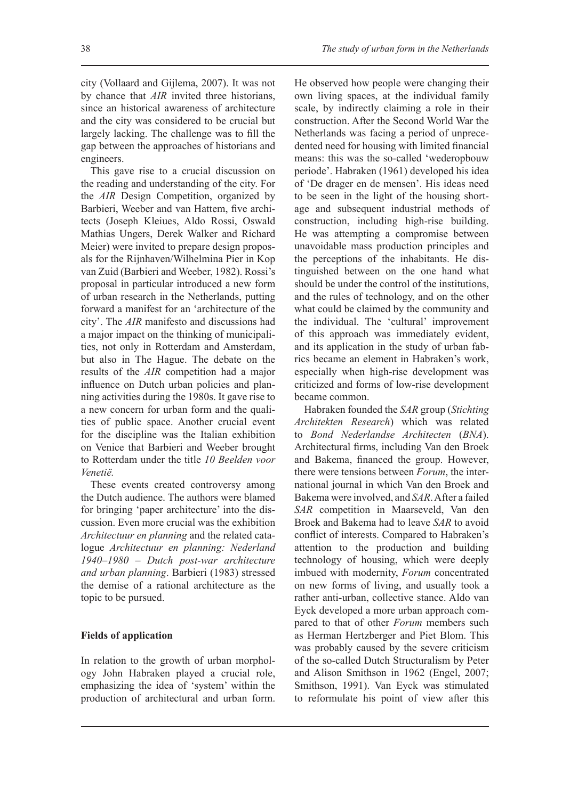city (Vollaard and Gijlema, 2007). It was not by chance that *AIR* invited three historians, since an historical awareness of architecture and the city was considered to be crucial but largely lacking. The challenge was to fill the gap between the approaches of historians and engineers.

This gave rise to a crucial discussion on the reading and understanding of the city. For the *AIR* Design Competition, organized by Barbieri, Weeber and van Hattem, five architects (Joseph Kleiues, Aldo Rossi, Oswald Mathias Ungers, Derek Walker and Richard Meier) were invited to prepare design proposals for the Rijnhaven/Wilhelmina Pier in Kop van Zuid (Barbieri and Weeber, 1982). Rossi's proposal in particular introduced a new form of urban research in the Netherlands, putting forward a manifest for an 'architecture of the city'. The *AIR* manifesto and discussions had a major impact on the thinking of municipalities, not only in Rotterdam and Amsterdam, but also in The Hague. The debate on the results of the *AIR* competition had a major influence on Dutch urban policies and planning activities during the 1980s. It gave rise to a new concern for urban form and the qualities of public space. Another crucial event for the discipline was the Italian exhibition on Venice that Barbieri and Weeber brought to Rotterdam under the title *10 Beelden voor Venetië.*

These events created controversy among the Dutch audience. The authors were blamed for bringing 'paper architecture' into the discussion. Even more crucial was the exhibition *Architectuur en planning* and the related catalogue *Architectuur en planning: Nederland 1940–1980 – Dutch post-war architecture and urban planning*. Barbieri (1983) stressed the demise of a rational architecture as the topic to be pursued.

### **Fields of application**

In relation to the growth of urban morphology John Habraken played a crucial role, emphasizing the idea of 'system' within the production of architectural and urban form. He observed how people were changing their own living spaces, at the individual family scale, by indirectly claiming a role in their construction. After the Second World War the Netherlands was facing a period of unprecedented need for housing with limited financial means: this was the so-called 'wederopbouw periode'. Habraken (1961) developed his idea of 'De drager en de mensen'. His ideas need to be seen in the light of the housing shortage and subsequent industrial methods of construction, including high-rise building. He was attempting a compromise between unavoidable mass production principles and the perceptions of the inhabitants. He distinguished between on the one hand what should be under the control of the institutions, and the rules of technology, and on the other what could be claimed by the community and the individual. The 'cultural' improvement of this approach was immediately evident, and its application in the study of urban fabrics became an element in Habraken's work, especially when high-rise development was criticized and forms of low-rise development became common.

Habraken founded the *SAR* group (*Stichting Architekten Research*) which was related to *Bond Nederlandse Architecten* (*BNA*). Architectural firms, including Van den Broek and Bakema, financed the group. However, there were tensions between *Forum*, the international journal in which Van den Broek and Bakema were involved, and *SAR*. After a failed *SAR* competition in Maarseveld, Van den Broek and Bakema had to leave *SAR* to avoid conflict of interests. Compared to Habraken's attention to the production and building technology of housing, which were deeply imbued with modernity, *Forum* concentrated on new forms of living, and usually took a rather anti-urban, collective stance. Aldo van Eyck developed a more urban approach compared to that of other *Forum* members such as Herman Hertzberger and Piet Blom. This was probably caused by the severe criticism of the so-called Dutch Structuralism by Peter and Alison Smithson in 1962 (Engel, 2007; Smithson, 1991). Van Eyck was stimulated to reformulate his point of view after this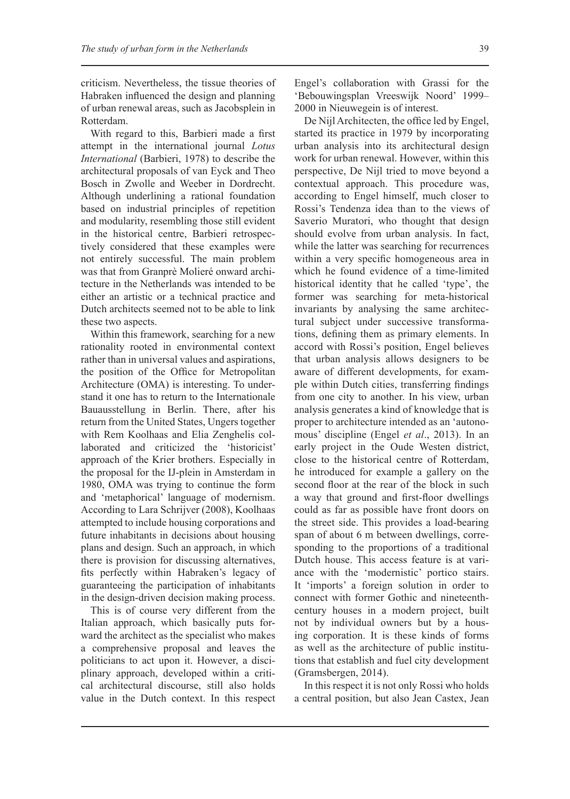criticism. Nevertheless, the tissue theories of Habraken influenced the design and planning of urban renewal areas, such as Jacobsplein in Rotterdam.

With regard to this, Barbieri made a first attempt in the international journal *Lotus International* (Barbieri, 1978) to describe the architectural proposals of van Eyck and Theo Bosch in Zwolle and Weeber in Dordrecht. Although underlining a rational foundation based on industrial principles of repetition and modularity, resembling those still evident in the historical centre, Barbieri retrospectively considered that these examples were not entirely successful. The main problem was that from Granprè Molieré onward architecture in the Netherlands was intended to be either an artistic or a technical practice and Dutch architects seemed not to be able to link these two aspects.

Within this framework, searching for a new rationality rooted in environmental context rather than in universal values and aspirations, the position of the Office for Metropolitan Architecture (OMA) is interesting. To understand it one has to return to the Internationale Bauausstellung in Berlin. There, after his return from the United States, Ungers together with Rem Koolhaas and Elia Zenghelis collaborated and criticized the 'historicist' approach of the Krier brothers. Especially in the proposal for the IJ-plein in Amsterdam in 1980, OMA was trying to continue the form and 'metaphorical' language of modernism. According to Lara Schrijver (2008), Koolhaas attempted to include housing corporations and future inhabitants in decisions about housing plans and design. Such an approach, in which there is provision for discussing alternatives, fits perfectly within Habraken's legacy of guaranteeing the participation of inhabitants in the design-driven decision making process.

This is of course very different from the Italian approach, which basically puts forward the architect as the specialist who makes a comprehensive proposal and leaves the politicians to act upon it. However, a disciplinary approach, developed within a critical architectural discourse, still also holds value in the Dutch context. In this respect Engel's collaboration with Grassi for the 'Bebouwingsplan Vreeswijk Noord' 1999– 2000 in Nieuwegein is of interest.

De Nijl Architecten, the office led by Engel, started its practice in 1979 by incorporating urban analysis into its architectural design work for urban renewal. However, within this perspective, De Nijl tried to move beyond a contextual approach. This procedure was, according to Engel himself, much closer to Rossi's Tendenza idea than to the views of Saverio Muratori, who thought that design should evolve from urban analysis. In fact, while the latter was searching for recurrences within a very specific homogeneous area in which he found evidence of a time-limited historical identity that he called 'type', the former was searching for meta-historical invariants by analysing the same architectural subject under successive transformations, defining them as primary elements. In accord with Rossi's position, Engel believes that urban analysis allows designers to be aware of different developments, for example within Dutch cities, transferring findings from one city to another. In his view, urban analysis generates a kind of knowledge that is proper to architecture intended as an 'autonomous' discipline (Engel *et al*., 2013). In an early project in the Oude Westen district, close to the historical centre of Rotterdam, he introduced for example a gallery on the second floor at the rear of the block in such a way that ground and first-floor dwellings could as far as possible have front doors on the street side. This provides a load-bearing span of about 6 m between dwellings, corresponding to the proportions of a traditional Dutch house. This access feature is at variance with the 'modernistic' portico stairs. It 'imports' a foreign solution in order to connect with former Gothic and nineteenthcentury houses in a modern project, built not by individual owners but by a housing corporation. It is these kinds of forms as well as the architecture of public institutions that establish and fuel city development (Gramsbergen, 2014).

In this respect it is not only Rossi who holds a central position, but also Jean Castex, Jean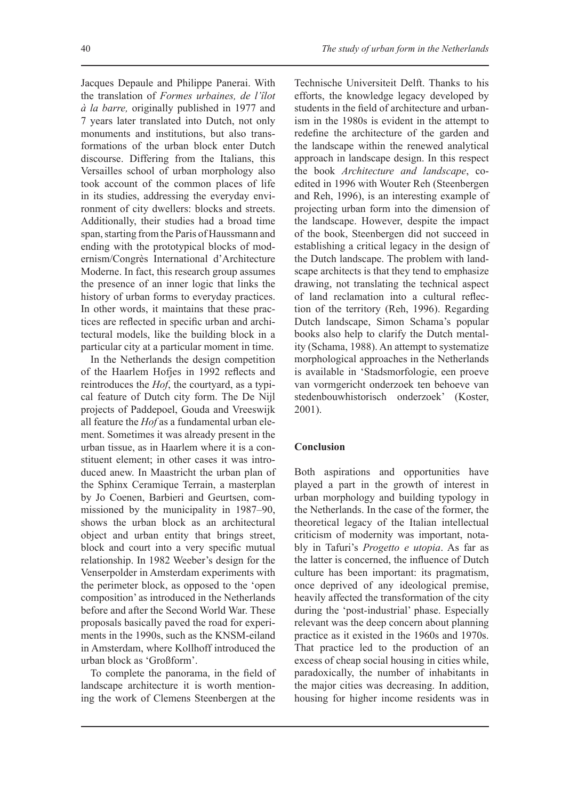Jacques Depaule and Philippe Panerai. With the translation of *Formes urbaines, de l'îlot à la barre,* originally published in 1977 and 7 years later translated into Dutch, not only monuments and institutions, but also transformations of the urban block enter Dutch discourse. Differing from the Italians, this Versailles school of urban morphology also took account of the common places of life in its studies, addressing the everyday environment of city dwellers: blocks and streets. Additionally, their studies had a broad time span, starting from the Paris of Haussmann and ending with the prototypical blocks of modernism/Congrès International d'Architecture Moderne. In fact, this research group assumes the presence of an inner logic that links the history of urban forms to everyday practices. In other words, it maintains that these practices are reflected in specific urban and architectural models, like the building block in a particular city at a particular moment in time.

In the Netherlands the design competition of the Haarlem Hofjes in 1992 reflects and reintroduces the *Hof*, the courtyard, as a typical feature of Dutch city form. The De Nijl projects of Paddepoel, Gouda and Vreeswijk all feature the *Hof* as a fundamental urban element. Sometimes it was already present in the urban tissue, as in Haarlem where it is a constituent element; in other cases it was introduced anew. In Maastricht the urban plan of the Sphinx Ceramique Terrain, a masterplan by Jo Coenen, Barbieri and Geurtsen, commissioned by the municipality in 1987–90, shows the urban block as an architectural object and urban entity that brings street, block and court into a very specific mutual relationship. In 1982 Weeber's design for the Venserpolder in Amsterdam experiments with the perimeter block, as opposed to the 'open composition' as introduced in the Netherlands before and after the Second World War. These proposals basically paved the road for experiments in the 1990s, such as the KNSM-eiland in Amsterdam, where Kollhoff introduced the urban block as 'Großform'.

To complete the panorama, in the field of landscape architecture it is worth mentioning the work of Clemens Steenbergen at the

Technische Universiteit Delft. Thanks to his efforts, the knowledge legacy developed by students in the field of architecture and urbanism in the 1980s is evident in the attempt to redefine the architecture of the garden and the landscape within the renewed analytical approach in landscape design. In this respect the book *Architecture and landscape*, coedited in 1996 with Wouter Reh (Steenbergen and Reh, 1996), is an interesting example of projecting urban form into the dimension of the landscape. However, despite the impact of the book, Steenbergen did not succeed in establishing a critical legacy in the design of the Dutch landscape. The problem with landscape architects is that they tend to emphasize drawing, not translating the technical aspect of land reclamation into a cultural reflection of the territory (Reh, 1996). Regarding Dutch landscape, Simon Schama's popular books also help to clarify the Dutch mentality (Schama, 1988). An attempt to systematize morphological approaches in the Netherlands is available in 'Stadsmorfologie, een proeve van vormgericht onderzoek ten behoeve van stedenbouwhistorisch onderzoek' (Koster, 2001).

### **Conclusion**

Both aspirations and opportunities have played a part in the growth of interest in urban morphology and building typology in the Netherlands. In the case of the former, the theoretical legacy of the Italian intellectual criticism of modernity was important, notably in Tafuri's *Progetto e utopia*. As far as the latter is concerned, the influence of Dutch culture has been important: its pragmatism, once deprived of any ideological premise, heavily affected the transformation of the city during the 'post-industrial' phase. Especially relevant was the deep concern about planning practice as it existed in the 1960s and 1970s. That practice led to the production of an excess of cheap social housing in cities while, paradoxically, the number of inhabitants in the major cities was decreasing. In addition, housing for higher income residents was in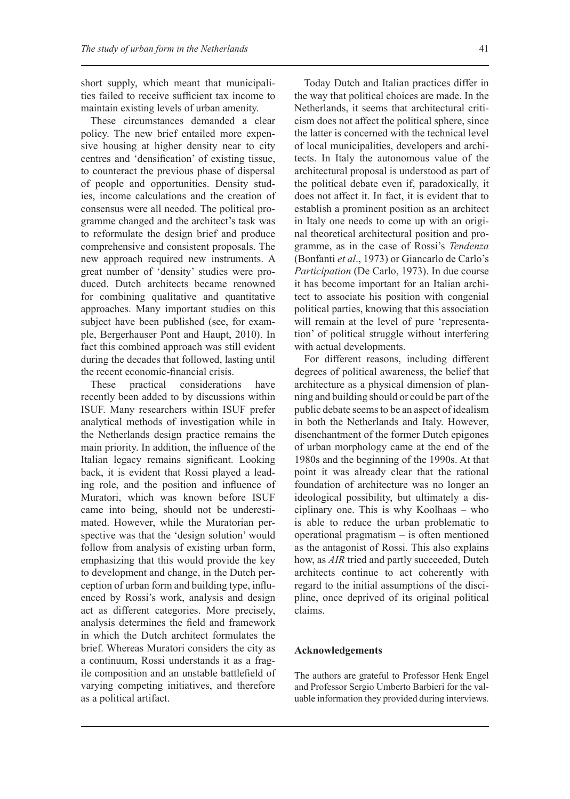short supply, which meant that municipalities failed to receive sufficient tax income to maintain existing levels of urban amenity.

These circumstances demanded a clear policy. The new brief entailed more expensive housing at higher density near to city centres and 'densification' of existing tissue, to counteract the previous phase of dispersal of people and opportunities. Density studies, income calculations and the creation of consensus were all needed. The political programme changed and the architect's task was to reformulate the design brief and produce comprehensive and consistent proposals. The new approach required new instruments. A great number of 'density' studies were produced. Dutch architects became renowned for combining qualitative and quantitative approaches. Many important studies on this subject have been published (see, for example, Bergerhauser Pont and Haupt, 2010). In fact this combined approach was still evident during the decades that followed, lasting until the recent economic-financial crisis.

These practical considerations have recently been added to by discussions within ISUF. Many researchers within ISUF prefer analytical methods of investigation while in the Netherlands design practice remains the main priority. In addition, the influence of the Italian legacy remains significant. Looking back, it is evident that Rossi played a leading role, and the position and influence of Muratori, which was known before ISUF came into being, should not be underestimated. However, while the Muratorian perspective was that the 'design solution' would follow from analysis of existing urban form, emphasizing that this would provide the key to development and change, in the Dutch perception of urban form and building type, influenced by Rossi's work, analysis and design act as different categories. More precisely, analysis determines the field and framework in which the Dutch architect formulates the brief. Whereas Muratori considers the city as a continuum, Rossi understands it as a fragile composition and an unstable battlefield of varying competing initiatives, and therefore as a political artifact.

Today Dutch and Italian practices differ in the way that political choices are made. In the Netherlands, it seems that architectural criticism does not affect the political sphere, since the latter is concerned with the technical level of local municipalities, developers and architects. In Italy the autonomous value of the architectural proposal is understood as part of the political debate even if, paradoxically, it does not affect it. In fact, it is evident that to establish a prominent position as an architect in Italy one needs to come up with an original theoretical architectural position and programme, as in the case of Rossi's *Tendenza* (Bonfanti *et al*., 1973) or Giancarlo de Carlo's *Participation* (De Carlo, 1973). In due course it has become important for an Italian architect to associate his position with congenial political parties, knowing that this association will remain at the level of pure 'representation' of political struggle without interfering with actual developments.

For different reasons, including different degrees of political awareness, the belief that architecture as a physical dimension of planning and building should or could be part of the public debate seems to be an aspect of idealism in both the Netherlands and Italy. However, disenchantment of the former Dutch epigones of urban morphology came at the end of the 1980s and the beginning of the 1990s. At that point it was already clear that the rational foundation of architecture was no longer an ideological possibility, but ultimately a disciplinary one. This is why Koolhaas  $-$  who is able to reduce the urban problematic to  $operational$  pragmatism – is often mentionedas the antagonist of Rossi. This also explains how, as *AIR* tried and partly succeeded, Dutch architects continue to act coherently with regard to the initial assumptions of the discipline, once deprived of its original political claims.

#### **Acknowledgements**

The authors are grateful to Professor Henk Engel and Professor Sergio Umberto Barbieri for the valuable information they provided during interviews.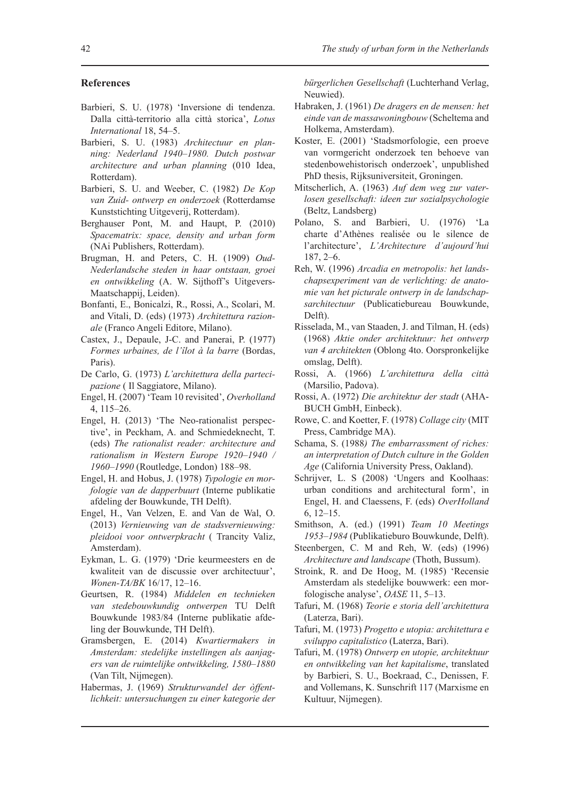#### **References**

- Barbieri, S. U. (1978) 'Inversione di tendenza. Dalla città-territorio alla città storica', *Lotus International* 18, 54–5.
- Barbieri, S. U. (1983) *Architectuur en planning: Nederland 1940–1980. Dutch postwar architecture and urban planning* (010 Idea, Rotterdam).
- Barbieri, S. U. and Weeber, C. (1982) *De Kop van Zuid- ontwerp en onderzoek* (Rotterdamse Kunststichting Uitgeverij, Rotterdam).
- Berghauser Pont, M. and Haupt, P. (2010) *Spacematrix: space, density and urban form* (NAi Publishers, Rotterdam).
- Brugman, H. and Peters, C. H. (1909) *Oud-Nederlandsche steden in haar ontstaan, groei en ontwikkeling* (A. W. Sijthoff's Uitgevers-Maatschappij, Leiden).
- Bonfanti, E., Bonicalzi, R., Rossi, A., Scolari, M. and Vitali, D. (eds) (1973) *Architettura razionale* (Franco Angeli Editore, Milano).
- Castex, J., Depaule, J-C. and Panerai, P. (1977) *Formes urbaines, de l'îlot à la barre* (Bordas, Paris).
- De Carlo, G. (1973) *L'architettura della partecipazione* ( Il Saggiatore, Milano).
- Engel, H. (2007) 'Team 10 revisited', *Overholland* 4, 115–26.
- Engel, H. (2013) 'The Neo-rationalist perspective', in Peckham, A. and Schmiedeknecht, T. (eds) *The rationalist reader: architecture and rationalism in Western Europe 1920–1940 / 1960–1990* (Routledge, London) 188–98.
- Engel, H. and Hobus, J. (1978) *Typologie en morfologie van de dapperbuurt* (Interne publikatie afdeling der Bouwkunde, TH Delft).
- Engel, H., Van Velzen, E. and Van de Wal, O. (2013) *Vernieuwing van de stadsvernieuwing: pleidooi voor ontwerpkracht* ( Trancity Valiz, Amsterdam).
- Eykman, L. G. (1979) 'Drie keurmeesters en de kwaliteit van de discussie over architectuur', *Wonen-TA/BK* 16/17, 12–16.
- Geurtsen, R. (1984) *Middelen en technieken van stedebouwkundig ontwerpen* TU Delft Bouwkunde 1983/84 (Interne publikatie afdeling der Bouwkunde, TH Delft).
- Gramsbergen, E. (2014) *Kwartiermakers in Amsterdam: stedelijke instellingen als aanjagers van de ruimtelijke ontwikkeling, 1580–1880* (Van Tilt, Nijmegen).
- Habermas, J. (1969) *Strukturwandel der òffentlichkeit: untersuchungen zu einer kategorie der*

*bürgerlichen Gesellschaft* (Luchterhand Verlag, Neuwied).

- Habraken, J. (1961) *De dragers en de mensen: het einde van de massawoningbouw* (Scheltema and Holkema, Amsterdam).
- Koster, E. (2001) 'Stadsmorfologie, een proeve van vormgericht onderzoek ten behoeve van stedenbowehistorisch onderzoek', unpublished PhD thesis, Rijksuniversiteit, Groningen.
- Mitscherlich, A. (1963) *Auf dem weg zur vaterlosen gesellschaft: ideen zur sozialpsychologie* (Beltz, Landsberg)
- Polano, S. and Barbieri, U. (1976) 'La charte d'Athènes realisée ou le silence de l'architecture', *L'Architecture d'aujourd'hui* 187, 2–6.
- Reh, W. (1996) *Arcadia en metropolis: het landschapsexperiment van de verlichting: de anatomie van het picturale ontwerp in de landschapsarchitectuur* (Publicatiebureau Bouwkunde, Delft).
- Risselada, M., van Staaden, J. and Tilman, H. (eds) (1968) *Aktie onder architektuur: het ontwerp van 4 architekten* (Oblong 4to. Oorspronkelijke omslag, Delft).
- Rossi, A. (1966) *L'architettura della città*  (Marsilio, Padova).
- Rossi, A. (1972) *Die architektur der stadt* (AHA-BUCH GmbH, Einbeck).
- Rowe, C. and Koetter, F. (1978) *Collage city* (MIT Press, Cambridge MA).
- Schama, S. (1988*) The embarrassment of riches: an interpretation of Dutch culture in the Golden Age* (California University Press, Oakland).
- Schrijver, L. S (2008) 'Ungers and Koolhaas: urban conditions and architectural form', in Engel, H. and Claessens, F. (eds) *OverHolland* 6, 12–15.
- Smithson, A. (ed.) (1991) *Team 10 Meetings 1953–1984* (Publikatieburo Bouwkunde, Delft).
- Steenbergen, C. M and Reh, W. (eds) (1996) *Architecture and landscape* (Thoth, Bussum).
- Stroink, R. and De Hoog, M. (1985) 'Recensie Amsterdam als stedelijke bouwwerk: een morfologische analyse', *OASE* 11, 5–13.
- Tafuri, M. (1968) *Teorie e storia dell'architettura*  (Laterza, Bari).
- Tafuri, M. (1973) *Progetto e utopia: architettura e sviluppo capitalistico* (Laterza, Bari).
- Tafuri, M. (1978) *Ontwerp en utopie, architektuur en ontwikkeling van het kapitalisme*, translated by Barbieri, S. U., Boekraad, C., Denissen, F. and Vollemans, K. Sunschrift 117 (Marxisme en Kultuur, Nijmegen).